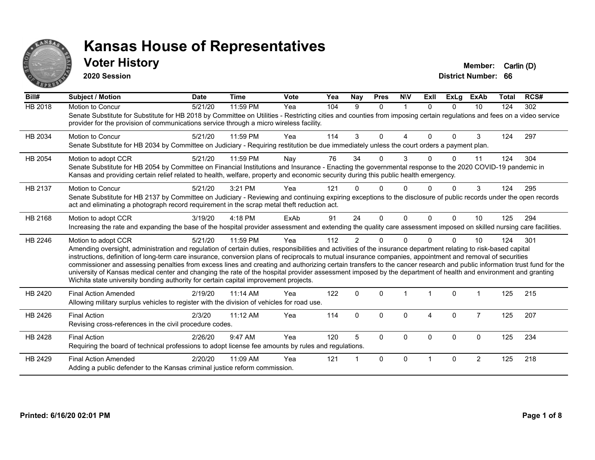

#### **Voter History Member:** Carlin (D)

**2020 Session**

| Bill#          | Subject / Motion                                                                                                                                                                                                                                                                                                                                                                                                                                                                                                                                                                                                                                                                                                                                                                         | <b>Date</b> | <b>Time</b> | Vote | Yea | Nay            | <b>Pres</b> | <b>NIV</b>     | <b>ExII</b> | <b>ExLg</b> | <b>ExAb</b>    | <b>Total</b> | RCS# |
|----------------|------------------------------------------------------------------------------------------------------------------------------------------------------------------------------------------------------------------------------------------------------------------------------------------------------------------------------------------------------------------------------------------------------------------------------------------------------------------------------------------------------------------------------------------------------------------------------------------------------------------------------------------------------------------------------------------------------------------------------------------------------------------------------------------|-------------|-------------|------|-----|----------------|-------------|----------------|-------------|-------------|----------------|--------------|------|
| <b>HB 2018</b> | Motion to Concur<br>Senate Substitute for Substitute for HB 2018 by Committee on Utilities - Restricting cities and counties from imposing certain regulations and fees on a video service<br>provider for the provision of communications service through a micro wireless facility.                                                                                                                                                                                                                                                                                                                                                                                                                                                                                                    | 5/21/20     | 11:59 PM    | Yea  | 104 | 9              | $\Omega$    | $\overline{1}$ | $\Omega$    | $\Omega$    | 10             | 124          | 302  |
| HB 2034        | Motion to Concur<br>Senate Substitute for HB 2034 by Committee on Judiciary - Requiring restitution be due immediately unless the court orders a payment plan.                                                                                                                                                                                                                                                                                                                                                                                                                                                                                                                                                                                                                           | 5/21/20     | 11:59 PM    | Yea  | 114 | 3              | $\Omega$    | 4              | $\Omega$    | $\Omega$    | 3              | 124          | 297  |
| HB 2054        | Motion to adopt CCR<br>Senate Substitute for HB 2054 by Committee on Financial Institutions and Insurance - Enacting the governmental response to the 2020 COVID-19 pandemic in<br>Kansas and providing certain relief related to health, welfare, property and economic security during this public health emergency.                                                                                                                                                                                                                                                                                                                                                                                                                                                                   | 5/21/20     | 11:59 PM    | Nay  | 76  | 34             | 0           | 3              |             | 0           | 11             | 124          | 304  |
| HB 2137        | Motion to Concur<br>Senate Substitute for HB 2137 by Committee on Judiciary - Reviewing and continuing expiring exceptions to the disclosure of public records under the open records<br>act and eliminating a photograph record requirement in the scrap metal theft reduction act.                                                                                                                                                                                                                                                                                                                                                                                                                                                                                                     | 5/21/20     | 3:21 PM     | Yea  | 121 |                | U           |                |             | U           | 3              | 124          | 295  |
| HB 2168        | Motion to adopt CCR<br>Increasing the rate and expanding the base of the hospital provider assessment and extending the quality care assessment imposed on skilled nursing care facilities.                                                                                                                                                                                                                                                                                                                                                                                                                                                                                                                                                                                              | 3/19/20     | $4:18$ PM   | ExAb | 91  | 24             | $\Omega$    | $\Omega$       | $\Omega$    | $\Omega$    | 10             | 125          | 294  |
| HB 2246        | Motion to adopt CCR<br>Amending oversight, administration and regulation of certain duties, responsibilities and activities of the insurance department relating to risk-based capital<br>instructions, definition of long-term care insurance, conversion plans of reciprocals to mutual insurance companies, appointment and removal of securities<br>commissioner and assessing penalties from excess lines and creating and authorizing certain transfers to the cancer research and public information trust fund for the<br>university of Kansas medical center and changing the rate of the hospital provider assessment imposed by the department of health and environment and granting<br>Wichita state university bonding authority for certain capital improvement projects. | 5/21/20     | 11:59 PM    | Yea  | 112 | $\overline{2}$ | 0           | $\Omega$       |             | $\Omega$    | 10             | 124          | 301  |
| HB 2420        | <b>Final Action Amended</b><br>Allowing military surplus vehicles to register with the division of vehicles for road use.                                                                                                                                                                                                                                                                                                                                                                                                                                                                                                                                                                                                                                                                | 2/19/20     | $11:14$ AM  | Yea  | 122 | $\Omega$       | $\Omega$    |                |             | $\Omega$    |                | 125          | 215  |
| HB 2426        | <b>Final Action</b><br>Revising cross-references in the civil procedure codes.                                                                                                                                                                                                                                                                                                                                                                                                                                                                                                                                                                                                                                                                                                           | 2/3/20      | 11:12 AM    | Yea  | 114 | $\Omega$       | $\Omega$    | $\Omega$       | 4           | $\mathbf 0$ | $\overline{7}$ | 125          | 207  |
| HB 2428        | <b>Final Action</b><br>Requiring the board of technical professions to adopt license fee amounts by rules and regulations.                                                                                                                                                                                                                                                                                                                                                                                                                                                                                                                                                                                                                                                               | 2/26/20     | 9:47 AM     | Yea  | 120 | 5              | $\Omega$    | $\Omega$       | $\Omega$    | $\Omega$    | $\mathbf{0}$   | 125          | 234  |
| HB 2429        | <b>Final Action Amended</b><br>Adding a public defender to the Kansas criminal justice reform commission.                                                                                                                                                                                                                                                                                                                                                                                                                                                                                                                                                                                                                                                                                | 2/20/20     | 11:09 AM    | Yea  | 121 |                | $\Omega$    | $\Omega$       |             | $\Omega$    | $\overline{2}$ | 125          | 218  |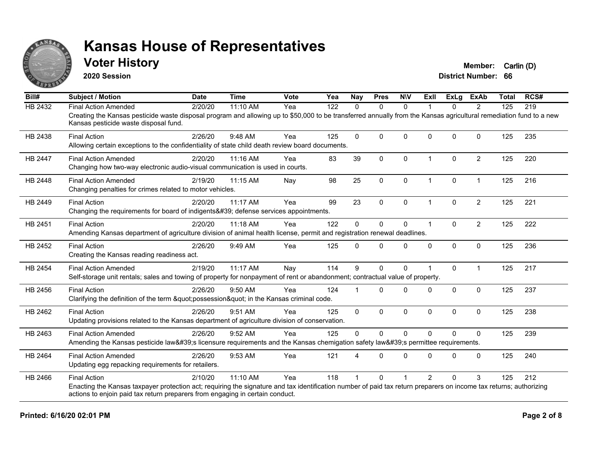

#### **Voter History Member:** Carlin (D)

**2020 Session**

| Bill#          | <b>Subject / Motion</b>                                                                                                                                                                                     | <b>Date</b> | <b>Time</b> | Vote | Yea | <b>Nay</b>  | <b>Pres</b>  | <b>NIV</b>  | ExII                 | <b>ExLg</b>  | <b>ExAb</b>    | <b>Total</b> | RCS# |
|----------------|-------------------------------------------------------------------------------------------------------------------------------------------------------------------------------------------------------------|-------------|-------------|------|-----|-------------|--------------|-------------|----------------------|--------------|----------------|--------------|------|
| HB 2432        | <b>Final Action Amended</b>                                                                                                                                                                                 | 2/20/20     | 11:10 AM    | Yea  | 122 | $\Omega$    | $\mathbf{0}$ | $\Omega$    | 1                    | $\Omega$     | 2              | 125          | 219  |
|                | Creating the Kansas pesticide waste disposal program and allowing up to \$50,000 to be transferred annually from the Kansas agricultural remediation fund to a new<br>Kansas pesticide waste disposal fund. |             |             |      |     |             |              |             |                      |              |                |              |      |
| HB 2438        | <b>Final Action</b>                                                                                                                                                                                         | 2/26/20     | 9:48 AM     | Yea  | 125 | $\Omega$    | $\mathbf 0$  | $\mathbf 0$ | $\Omega$             | $\Omega$     | $\Omega$       | 125          | 235  |
|                | Allowing certain exceptions to the confidentiality of state child death review board documents.                                                                                                             |             |             |      |     |             |              |             |                      |              |                |              |      |
| <b>HB 2447</b> | <b>Final Action Amended</b>                                                                                                                                                                                 | 2/20/20     | 11:16 AM    | Yea  | 83  | 39          | $\mathbf{0}$ | $\Omega$    | $\blacktriangleleft$ | $\Omega$     | $\overline{2}$ | 125          | 220  |
|                | Changing how two-way electronic audio-visual communication is used in courts.                                                                                                                               |             |             |      |     |             |              |             |                      |              |                |              |      |
| <b>HB 2448</b> | <b>Final Action Amended</b>                                                                                                                                                                                 | 2/19/20     | 11:15 AM    | Nay  | 98  | 25          | $\mathbf 0$  | $\Omega$    | $\mathbf{1}$         | 0            | $\mathbf{1}$   | 125          | 216  |
|                | Changing penalties for crimes related to motor vehicles.                                                                                                                                                    |             |             |      |     |             |              |             |                      |              |                |              |      |
| HB 2449        | <b>Final Action</b>                                                                                                                                                                                         | 2/20/20     | 11:17 AM    | Yea  | 99  | 23          | $\mathbf 0$  | $\mathbf 0$ | $\overline{1}$       | $\Omega$     | $\overline{2}$ | 125          | 221  |
|                | Changing the requirements for board of indigents' defense services appointments.                                                                                                                            |             |             |      |     |             |              |             |                      |              |                |              |      |
| HB 2451        | <b>Final Action</b>                                                                                                                                                                                         | 2/20/20     | 11:18 AM    | Yea  | 122 | $\Omega$    | $\mathbf{0}$ | $\mathbf 0$ | 1                    | $\mathbf{0}$ | $\overline{2}$ | 125          | 222  |
|                | Amending Kansas department of agriculture division of animal health license, permit and registration renewal deadlines.                                                                                     |             |             |      |     |             |              |             |                      |              |                |              |      |
| HB 2452        | <b>Final Action</b>                                                                                                                                                                                         | 2/26/20     | 9:49 AM     | Yea  | 125 | $\Omega$    | $\Omega$     | $\Omega$    | $\Omega$             | 0            | 0              | 125          | 236  |
|                | Creating the Kansas reading readiness act.                                                                                                                                                                  |             |             |      |     |             |              |             |                      |              |                |              |      |
| HB 2454        | <b>Final Action Amended</b>                                                                                                                                                                                 | 2/19/20     | 11:17 AM    | Nay  | 114 | 9           | $\mathbf{0}$ | $\Omega$    |                      | $\Omega$     | $\mathbf 1$    | 125          | 217  |
|                | Self-storage unit rentals; sales and towing of property for nonpayment of rent or abandonment; contractual value of property.                                                                               |             |             |      |     |             |              |             |                      |              |                |              |      |
| HB 2456        | <b>Final Action</b>                                                                                                                                                                                         | 2/26/20     | $9:50$ AM   | Yea  | 124 |             | $\Omega$     | $\Omega$    | $\Omega$             | $\Omega$     | $\mathbf{0}$   | 125          | 237  |
|                | Clarifying the definition of the term "possession" in the Kansas criminal code.                                                                                                                             |             |             |      |     |             |              |             |                      |              |                |              |      |
| HB 2462        | <b>Final Action</b>                                                                                                                                                                                         | 2/26/20     | 9:51 AM     | Yea  | 125 | $\mathbf 0$ | $\mathbf 0$  | $\mathbf 0$ | $\mathbf{0}$         | $\Omega$     | $\mathbf 0$    | 125          | 238  |
|                | Updating provisions related to the Kansas department of agriculture division of conservation.                                                                                                               |             |             |      |     |             |              |             |                      |              |                |              |      |
| HB 2463        | <b>Final Action Amended</b>                                                                                                                                                                                 | 2/26/20     | 9:52 AM     | Yea  | 125 | $\Omega$    | $\Omega$     | $\Omega$    | $\Omega$             | $\Omega$     | $\Omega$       | 125          | 239  |
|                | Amending the Kansas pesticide law's licensure requirements and the Kansas chemigation safety law's permittee requirements.                                                                                  |             |             |      |     |             |              |             |                      |              |                |              |      |
| HB 2464        | <b>Final Action Amended</b>                                                                                                                                                                                 | 2/26/20     | 9:53 AM     | Yea  | 121 |             | $\Omega$     | $\Omega$    | $\Omega$             | $\Omega$     | $\Omega$       | 125          | 240  |
|                | Updating egg repacking requirements for retailers.                                                                                                                                                          |             |             |      |     |             |              |             |                      |              |                |              |      |
| HB 2466        | <b>Final Action</b>                                                                                                                                                                                         | 2/10/20     | 11:10 AM    | Yea  | 118 |             | $\Omega$     |             | $\mathcal{P}$        | U            | 3              | 125          | 212  |
|                | Enacting the Kansas taxpayer protection act; requiring the signature and tax identification number of paid tax return preparers on income tax returns; authorizing                                          |             |             |      |     |             |              |             |                      |              |                |              |      |
|                | actions to enjoin paid tax return preparers from engaging in certain conduct.                                                                                                                               |             |             |      |     |             |              |             |                      |              |                |              |      |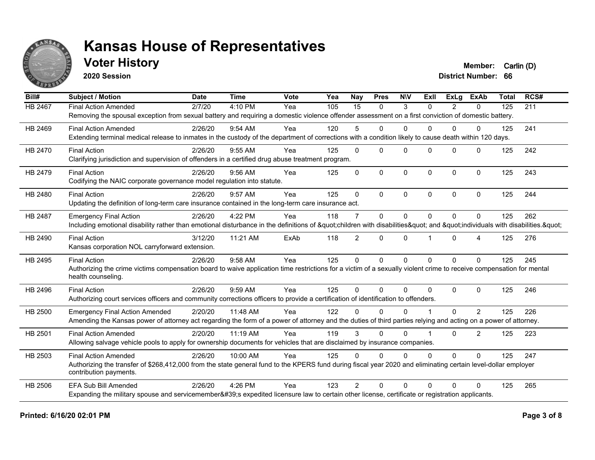

### **Voter History Member:** Carlin (D)

**2020 Session**

| Bill#          | <b>Subject / Motion</b>                                                                                                                                                                   | <b>Date</b> | <b>Time</b> | Vote | Yea | <b>Nay</b>     | <b>Pres</b>  | <b>NIV</b>   | ExII           | ExLa     | <b>ExAb</b>    | <b>Total</b> | RCS# |
|----------------|-------------------------------------------------------------------------------------------------------------------------------------------------------------------------------------------|-------------|-------------|------|-----|----------------|--------------|--------------|----------------|----------|----------------|--------------|------|
| <b>HB 2467</b> | <b>Final Action Amended</b>                                                                                                                                                               | 2/7/20      | 4:10 PM     | Yea  | 105 | 15             | $\mathbf{0}$ | 3            | $\Omega$       | 2        | $\Omega$       | 125          | 211  |
|                | Removing the spousal exception from sexual battery and requiring a domestic violence offender assessment on a first conviction of domestic battery.                                       |             |             |      |     |                |              |              |                |          |                |              |      |
| HB 2469        | <b>Final Action Amended</b>                                                                                                                                                               | 2/26/20     | 9:54 AM     | Yea  | 120 | 5              | $\mathbf{0}$ | $\mathbf{0}$ | 0              | $\Omega$ | $\mathbf{0}$   | 125          | 241  |
|                | Extending terminal medical release to inmates in the custody of the department of corrections with a condition likely to cause death within 120 days.                                     |             |             |      |     |                |              |              |                |          |                |              |      |
| HB 2470        | <b>Final Action</b>                                                                                                                                                                       | 2/26/20     | 9:55 AM     | Yea  | 125 | $\Omega$       | $\Omega$     | $\Omega$     | $\Omega$       | $\Omega$ | $\Omega$       | 125          | 242  |
|                | Clarifying jurisdiction and supervision of offenders in a certified drug abuse treatment program.                                                                                         |             |             |      |     |                |              |              |                |          |                |              |      |
| HB 2479        | <b>Final Action</b>                                                                                                                                                                       | 2/26/20     | $9:56$ AM   | Yea  | 125 | $\Omega$       | $\Omega$     | $\mathbf 0$  | $\Omega$       | $\Omega$ | $\Omega$       | 125          | 243  |
|                | Codifying the NAIC corporate governance model regulation into statute.                                                                                                                    |             |             |      |     |                |              |              |                |          |                |              |      |
| HB 2480        | <b>Final Action</b>                                                                                                                                                                       | 2/26/20     | 9:57 AM     | Yea  | 125 | $\Omega$       | $\Omega$     | $\mathbf{0}$ | $\Omega$       | $\Omega$ | $\Omega$       | 125          | 244  |
|                | Updating the definition of long-term care insurance contained in the long-term care insurance act.                                                                                        |             |             |      |     |                |              |              |                |          |                |              |      |
| HB 2487        | <b>Emergency Final Action</b>                                                                                                                                                             | 2/26/20     | 4:22 PM     | Yea  | 118 | $\overline{7}$ | $\Omega$     | $\mathbf{0}$ | $\Omega$       | $\Omega$ | $\Omega$       | 125          | 262  |
|                | Including emotional disability rather than emotional disturbance in the definitions of "children with disabilities" and "individuals with disabilities. "                                 |             |             |      |     |                |              |              |                |          |                |              |      |
| HB 2490        | <b>Final Action</b>                                                                                                                                                                       | 3/12/20     | 11:21 AM    | ExAb | 118 | $\overline{2}$ | $\Omega$     | $\mathbf{0}$ |                | $\Omega$ | 4              | 125          | 276  |
|                | Kansas corporation NOL carryforward extension.                                                                                                                                            |             |             |      |     |                |              |              |                |          |                |              |      |
| HB 2495        | <b>Final Action</b>                                                                                                                                                                       | 2/26/20     | 9:58 AM     | Yea  | 125 | $\mathbf{0}$   | $\Omega$     | $\Omega$     | $\Omega$       | $\Omega$ | $\Omega$       | 125          | 245  |
|                | Authorizing the crime victims compensation board to waive application time restrictions for a victim of a sexually violent crime to receive compensation for mental<br>health counseling. |             |             |      |     |                |              |              |                |          |                |              |      |
| HB 2496        | <b>Final Action</b>                                                                                                                                                                       | 2/26/20     | 9:59 AM     | Yea  | 125 | $\Omega$       | $\Omega$     | $\Omega$     | $\Omega$       | $\Omega$ | $\Omega$       | 125          | 246  |
|                | Authorizing court services officers and community corrections officers to provide a certification of identification to offenders.                                                         |             |             |      |     |                |              |              |                |          |                |              |      |
| HB 2500        | <b>Emergency Final Action Amended</b>                                                                                                                                                     | 2/20/20     | 11:48 AM    | Yea  | 122 | ∩              | $\Omega$     | $\Omega$     |                | 0        | $\mathcal{P}$  | 125          | 226  |
|                | Amending the Kansas power of attorney act regarding the form of a power of attorney and the duties of third parties relying and acting on a power of attorney.                            |             |             |      |     |                |              |              |                |          |                |              |      |
| HB 2501        | <b>Final Action Amended</b>                                                                                                                                                               | 2/20/20     | 11:19 AM    | Yea  | 119 | 3              | $\Omega$     | $\Omega$     | $\overline{1}$ | $\Omega$ | $\overline{2}$ | 125          | 223  |
|                | Allowing salvage vehicle pools to apply for ownership documents for vehicles that are disclaimed by insurance companies.                                                                  |             |             |      |     |                |              |              |                |          |                |              |      |
| HB 2503        | <b>Final Action Amended</b>                                                                                                                                                               | 2/26/20     | 10:00 AM    | Yea  | 125 | $\Omega$       | $\Omega$     | $\Omega$     | $\Omega$       | $\Omega$ | $\Omega$       | 125          | 247  |
|                | Authorizing the transfer of \$268,412,000 from the state general fund to the KPERS fund during fiscal year 2020 and eliminating certain level-dollar employer<br>contribution payments.   |             |             |      |     |                |              |              |                |          |                |              |      |
| HB 2506        | <b>EFA Sub Bill Amended</b>                                                                                                                                                               | 2/26/20     | 4:26 PM     | Yea  | 123 | $\mathcal{P}$  | $\Omega$     | $\Omega$     | $\Omega$       | $\Omega$ | $\Omega$       | 125          | 265  |
|                | Expanding the military spouse and servicemember's expedited licensure law to certain other license, certificate or registration applicants.                                               |             |             |      |     |                |              |              |                |          |                |              |      |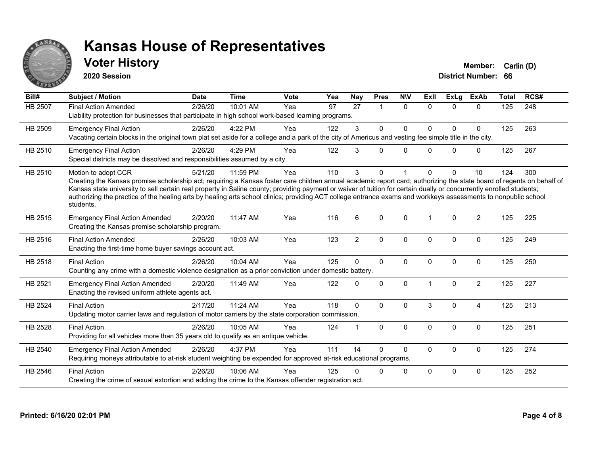

### **Voter History Member:** Carlin (D)

**2020 Session**

| Bill#          | <b>Subject / Motion</b>                                                                                                                                                                                                                                                                                                                                                                                                                                                                                                                             | <b>Date</b> | <b>Time</b> | <b>Vote</b> | Yea | Nay            | <b>Pres</b>    | <b>NIV</b>   | ExII                 | <b>ExLg</b>  | <b>ExAb</b>    | <b>Total</b> | RCS# |
|----------------|-----------------------------------------------------------------------------------------------------------------------------------------------------------------------------------------------------------------------------------------------------------------------------------------------------------------------------------------------------------------------------------------------------------------------------------------------------------------------------------------------------------------------------------------------------|-------------|-------------|-------------|-----|----------------|----------------|--------------|----------------------|--------------|----------------|--------------|------|
| HB 2507        | <b>Final Action Amended</b><br>Liability protection for businesses that participate in high school work-based learning programs.                                                                                                                                                                                                                                                                                                                                                                                                                    | 2/26/20     | 10:01 AM    | Yea         | 97  | 27             | $\overline{1}$ | $\Omega$     | $\Omega$             | $\Omega$     | $\Omega$       | 125          | 248  |
| HB 2509        | <b>Emergency Final Action</b><br>Vacating certain blocks in the original town plat set aside for a college and a park of the city of Americus and vesting fee simple title in the city.                                                                                                                                                                                                                                                                                                                                                             | 2/26/20     | 4:22 PM     | Yea         | 122 | 3              | $\Omega$       | $\Omega$     | $\Omega$             | $\Omega$     | 0              | 125          | 263  |
| HB 2510        | <b>Emergency Final Action</b><br>Special districts may be dissolved and responsibilities assumed by a city.                                                                                                                                                                                                                                                                                                                                                                                                                                         | 2/26/20     | 4:29 PM     | Yea         | 122 | 3              | 0              | $\mathbf{0}$ | <sup>n</sup>         | $\Omega$     | 0              | 125          | 267  |
| HB 2510        | Motion to adopt CCR<br>Creating the Kansas promise scholarship act; requiring a Kansas foster care children annual academic report card; authorizing the state board of regents on behalf of<br>Kansas state university to sell certain real property in Saline county; providing payment or waiver of tuition for certain dually or concurrently enrolled students;<br>authorizing the practice of the healing arts by healing arts school clinics; providing ACT college entrance exams and workkeys assessments to nonpublic school<br>students. | 5/21/20     | 11:59 PM    | Yea         | 110 | 3              | 0              |              | <sup>n</sup>         | $\Omega$     | 10             | 124          | 300  |
| HB 2515        | <b>Emergency Final Action Amended</b><br>Creating the Kansas promise scholarship program.                                                                                                                                                                                                                                                                                                                                                                                                                                                           | 2/20/20     | 11:47 AM    | Yea         | 116 | 6              | $\Omega$       | $\mathbf{0}$ | $\blacktriangleleft$ | $\Omega$     | $\overline{2}$ | 125          | 225  |
| HB 2516        | <b>Final Action Amended</b><br>Enacting the first-time home buyer savings account act.                                                                                                                                                                                                                                                                                                                                                                                                                                                              | 2/26/20     | 10:03 AM    | Yea         | 123 | $\overline{2}$ | $\mathbf{0}$   | $\Omega$     | $\mathbf{0}$         | $\mathbf{0}$ | $\mathbf{0}$   | 125          | 249  |
| HB 2518        | <b>Final Action</b><br>Counting any crime with a domestic violence designation as a prior conviction under domestic battery.                                                                                                                                                                                                                                                                                                                                                                                                                        | 2/26/20     | 10:04 AM    | Yea         | 125 | $\Omega$       | $\mathbf{0}$   | $\Omega$     | $\mathbf{0}$         | $\Omega$     | $\mathbf{0}$   | 125          | 250  |
| HB 2521        | <b>Emergency Final Action Amended</b><br>Enacting the revised uniform athlete agents act.                                                                                                                                                                                                                                                                                                                                                                                                                                                           | 2/20/20     | 11:49 AM    | Yea         | 122 | $\mathbf{0}$   | 0              | $\mathbf 0$  |                      | $\mathbf 0$  | $\overline{2}$ | 125          | 227  |
| <b>HB 2524</b> | <b>Final Action</b><br>Updating motor carrier laws and regulation of motor carriers by the state corporation commission.                                                                                                                                                                                                                                                                                                                                                                                                                            | 2/17/20     | 11:24 AM    | Yea         | 118 | $\mathbf{0}$   | $\Omega$       | $\Omega$     | 3                    | $\Omega$     | 4              | 125          | 213  |
| HB 2528        | <b>Final Action</b><br>Providing for all vehicles more than 35 years old to qualify as an antique vehicle.                                                                                                                                                                                                                                                                                                                                                                                                                                          | 2/26/20     | 10:05 AM    | Yea         | 124 |                | $\Omega$       | $\Omega$     | $\Omega$             | $\Omega$     | $\mathbf{0}$   | 125          | 251  |
| HB 2540        | <b>Emergency Final Action Amended</b><br>Requiring moneys attributable to at-risk student weighting be expended for approved at-risk educational programs.                                                                                                                                                                                                                                                                                                                                                                                          | 2/26/20     | 4:37 PM     | Yea         | 111 | 14             | $\Omega$       | $\Omega$     | $\Omega$             | $\mathbf 0$  | $\mathbf 0$    | 125          | 274  |
| HB 2546        | <b>Final Action</b><br>Creating the crime of sexual extortion and adding the crime to the Kansas offender registration act.                                                                                                                                                                                                                                                                                                                                                                                                                         | 2/26/20     | 10:06 AM    | Yea         | 125 | 0              | 0              | $\mathbf 0$  | $\Omega$             | 0            | $\Omega$       | 125          | 252  |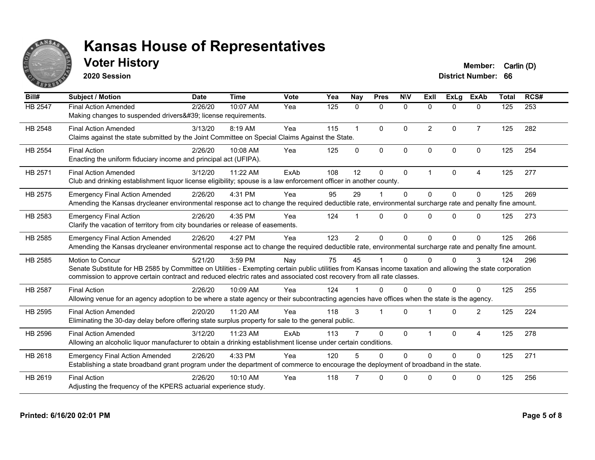

### **Voter History Member:** Carlin (D)

**2020 Session**

| Bill#          | <b>Subject / Motion</b>                                                                                                                                                                                                                                                                                         | <b>Date</b> | <b>Time</b> | Vote | Yea | <b>Nay</b>     | <b>Pres</b>  | <b>NIV</b>   | ExII           | ExLg     | <b>ExAb</b>    | <b>Total</b> | RCS# |
|----------------|-----------------------------------------------------------------------------------------------------------------------------------------------------------------------------------------------------------------------------------------------------------------------------------------------------------------|-------------|-------------|------|-----|----------------|--------------|--------------|----------------|----------|----------------|--------------|------|
| HB 2547        | <b>Final Action Amended</b><br>Making changes to suspended drivers' license requirements.                                                                                                                                                                                                                       | 2/26/20     | 10:07 AM    | Yea  | 125 | $\mathbf{0}$   | $\mathbf{0}$ | $\mathbf{0}$ | $\mathbf{0}$   | $\Omega$ | $\mathbf{0}$   | 125          | 253  |
| HB 2548        | <b>Final Action Amended</b><br>Claims against the state submitted by the Joint Committee on Special Claims Against the State.                                                                                                                                                                                   | 3/13/20     | 8:19 AM     | Yea  | 115 |                | $\Omega$     | $\Omega$     | $\overline{2}$ | $\Omega$ | $\overline{7}$ | 125          | 282  |
| <b>HB 2554</b> | <b>Final Action</b><br>Enacting the uniform fiduciary income and principal act (UFIPA).                                                                                                                                                                                                                         | 2/26/20     | 10:08 AM    | Yea  | 125 | $\Omega$       | $\Omega$     | $\mathbf{0}$ | $\Omega$       | $\Omega$ | $\mathbf{0}$   | 125          | 254  |
| HB 2571        | <b>Final Action Amended</b><br>Club and drinking establishment liquor license eligibility; spouse is a law enforcement officer in another county.                                                                                                                                                               | 3/12/20     | 11:22 AM    | ExAb | 108 | 12             | $\mathbf{0}$ | $\mathbf{0}$ | 1              | $\Omega$ | 4              | 125          | 277  |
| HB 2575        | <b>Emergency Final Action Amended</b><br>Amending the Kansas drycleaner environmental response act to change the required deductible rate, environmental surcharge rate and penalty fine amount.                                                                                                                | 2/26/20     | 4:31 PM     | Yea  | 95  | 29             |              | $\Omega$     | $\Omega$       | $\Omega$ | $\Omega$       | 125          | 269  |
| HB 2583        | <b>Emergency Final Action</b><br>Clarify the vacation of territory from city boundaries or release of easements.                                                                                                                                                                                                | 2/26/20     | 4:35 PM     | Yea  | 124 |                | $\Omega$     | $\Omega$     | $\Omega$       | $\Omega$ | $\Omega$       | 125          | 273  |
| HB 2585        | <b>Emergency Final Action Amended</b><br>Amending the Kansas drycleaner environmental response act to change the required deductible rate, environmental surcharge rate and penalty fine amount.                                                                                                                | 2/26/20     | 4:27 PM     | Yea  | 123 | $\overline{2}$ | $\Omega$     | $\Omega$     | 0              | $\Omega$ | $\Omega$       | 125          | 266  |
| HB 2585        | <b>Motion to Concur</b><br>Senate Substitute for HB 2585 by Committee on Utilities - Exempting certain public utilities from Kansas income taxation and allowing the state corporation<br>commission to approve certain contract and reduced electric rates and associated cost recovery from all rate classes. | 5/21/20     | 3:59 PM     | Nay  | 75  | 45             |              | $\Omega$     | 0              | $\Omega$ | 3              | 124          | 296  |
| <b>HB 2587</b> | <b>Final Action</b><br>Allowing venue for an agency adoption to be where a state agency or their subcontracting agencies have offices when the state is the agency.                                                                                                                                             | 2/26/20     | 10:09 AM    | Yea  | 124 |                | $\Omega$     | $\Omega$     | 0              | $\Omega$ | 0              | 125          | 255  |
| HB 2595        | <b>Final Action Amended</b><br>Eliminating the 30-day delay before offering state surplus property for sale to the general public.                                                                                                                                                                              | 2/20/20     | 11:20 AM    | Yea  | 118 | 3              |              | $\Omega$     |                | $\Omega$ | 2              | 125          | 224  |
| HB 2596        | <b>Final Action Amended</b><br>Allowing an alcoholic liquor manufacturer to obtain a drinking establishment license under certain conditions.                                                                                                                                                                   | 3/12/20     | 11:23 AM    | ExAb | 113 |                | $\mathbf{0}$ | $\mathbf{0}$ |                | $\Omega$ | 4              | 125          | 278  |
| HB 2618        | <b>Emergency Final Action Amended</b><br>Establishing a state broadband grant program under the department of commerce to encourage the deployment of broadband in the state.                                                                                                                                   | 2/26/20     | 4:33 PM     | Yea  | 120 |                | $\Omega$     | $\Omega$     | $\Omega$       | $\Omega$ | $\Omega$       | 125          | 271  |
| HB 2619        | <b>Final Action</b><br>Adjusting the frequency of the KPERS actuarial experience study.                                                                                                                                                                                                                         | 2/26/20     | 10:10 AM    | Yea  | 118 |                | $\Omega$     | $\Omega$     | U              | $\Omega$ | $\Omega$       | 125          | 256  |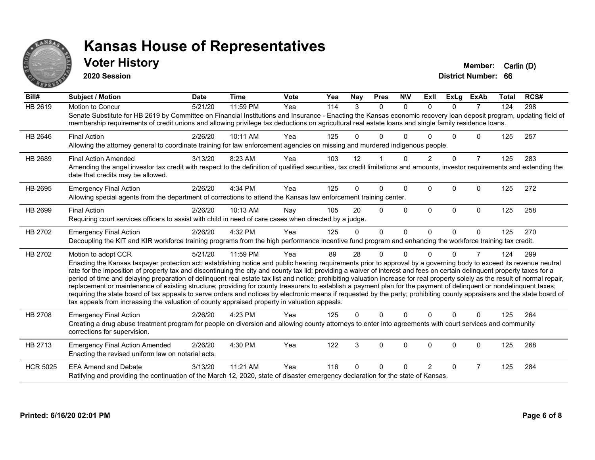

#### **Voter History Member:** Carlin (D)

**2020 Session**

| Bill#           | Subject / Motion                                                                                                                                                                                                                                                                                                                                                                                                                                                                                                                                                                                                                                                                                                                                                                                                                                                                                                                                                                                              | <b>Date</b> | <b>Time</b> | <b>Vote</b> | Yea | <b>Nay</b> | <b>Pres</b> | <b>NIV</b>   | ExII           | <b>ExLg</b> | <b>ExAb</b>    | Total | RCS# |
|-----------------|---------------------------------------------------------------------------------------------------------------------------------------------------------------------------------------------------------------------------------------------------------------------------------------------------------------------------------------------------------------------------------------------------------------------------------------------------------------------------------------------------------------------------------------------------------------------------------------------------------------------------------------------------------------------------------------------------------------------------------------------------------------------------------------------------------------------------------------------------------------------------------------------------------------------------------------------------------------------------------------------------------------|-------------|-------------|-------------|-----|------------|-------------|--------------|----------------|-------------|----------------|-------|------|
| HB 2619         | Motion to Concur<br>Senate Substitute for HB 2619 by Committee on Financial Institutions and Insurance - Enacting the Kansas economic recovery loan deposit program, updating field of<br>membership requirements of credit unions and allowing privilege tax deductions on agricultural real estate loans and single family residence loans.                                                                                                                                                                                                                                                                                                                                                                                                                                                                                                                                                                                                                                                                 | 5/21/20     | 11:59 PM    | Yea         | 114 | 3          | $\Omega$    | $\Omega$     | $\Omega$       | $\Omega$    | $\overline{7}$ | 124   | 298  |
| HB 2646         | <b>Final Action</b><br>Allowing the attorney general to coordinate training for law enforcement agencies on missing and murdered indigenous people.                                                                                                                                                                                                                                                                                                                                                                                                                                                                                                                                                                                                                                                                                                                                                                                                                                                           | 2/26/20     | 10:11 AM    | Yea         | 125 | 0          | 0           | <sup>0</sup> |                | 0           | 0              | 125   | 257  |
| HB 2689         | <b>Final Action Amended</b><br>Amending the angel investor tax credit with respect to the definition of qualified securities, tax credit limitations and amounts, investor requirements and extending the<br>date that credits may be allowed.                                                                                                                                                                                                                                                                                                                                                                                                                                                                                                                                                                                                                                                                                                                                                                | 3/13/20     | 8:23 AM     | Yea         | 103 | 12         |             | <sup>0</sup> |                | $\Omega$    | $\overline{7}$ | 125   | 283  |
| HB 2695         | <b>Emergency Final Action</b><br>Allowing special agents from the department of corrections to attend the Kansas law enforcement training center.                                                                                                                                                                                                                                                                                                                                                                                                                                                                                                                                                                                                                                                                                                                                                                                                                                                             | 2/26/20     | 4:34 PM     | Yea         | 125 | $\Omega$   | $\Omega$    | $\Omega$     | $\Omega$       | $\Omega$    | $\Omega$       | 125   | 272  |
| HB 2699         | <b>Final Action</b><br>Requiring court services officers to assist with child in need of care cases when directed by a judge.                                                                                                                                                                                                                                                                                                                                                                                                                                                                                                                                                                                                                                                                                                                                                                                                                                                                                 | 2/26/20     | 10:13 AM    | Nay         | 105 | 20         | $\Omega$    | $\Omega$     | $\Omega$       | $\Omega$    | $\Omega$       | 125   | 258  |
| HB 2702         | <b>Emergency Final Action</b><br>Decoupling the KIT and KIR workforce training programs from the high performance incentive fund program and enhancing the workforce training tax credit.                                                                                                                                                                                                                                                                                                                                                                                                                                                                                                                                                                                                                                                                                                                                                                                                                     | 2/26/20     | 4:32 PM     | Yea         | 125 | $\Omega$   | $\Omega$    | $\Omega$     | $\Omega$       | $\Omega$    | $\mathbf{0}$   | 125   | 270  |
| HB 2702         | Motion to adopt CCR<br>Enacting the Kansas taxpayer protection act; establishing notice and public hearing requirements prior to approval by a governing body to exceed its revenue neutral<br>rate for the imposition of property tax and discontinuing the city and county tax lid; providing a waiver of interest and fees on certain delinquent property taxes for a<br>period of time and delaying preparation of delinquent real estate tax list and notice; prohibiting valuation increase for real property solely as the result of normal repair,<br>replacement or maintenance of existing structure; providing for county treasurers to establish a payment plan for the payment of delinquent or nondelinquent taxes;<br>requiring the state board of tax appeals to serve orders and notices by electronic means if requested by the party; prohibiting county appraisers and the state board of<br>tax appeals from increasing the valuation of county appraised property in valuation appeals. | 5/21/20     | 11:59 PM    | Yea         | 89  | 28         | $\Omega$    | $\Omega$     | U              | $\Omega$    | $\overline{7}$ | 124   | 299  |
| HB 2708         | <b>Emergency Final Action</b><br>Creating a drug abuse treatment program for people on diversion and allowing county attorneys to enter into agreements with court services and community<br>corrections for supervision.                                                                                                                                                                                                                                                                                                                                                                                                                                                                                                                                                                                                                                                                                                                                                                                     | 2/26/20     | 4:23 PM     | Yea         | 125 | 0          | $\Omega$    | $\Omega$     | U              | $\Omega$    | $\Omega$       | 125   | 264  |
| HB 2713         | <b>Emergency Final Action Amended</b><br>Enacting the revised uniform law on notarial acts.                                                                                                                                                                                                                                                                                                                                                                                                                                                                                                                                                                                                                                                                                                                                                                                                                                                                                                                   | 2/26/20     | 4:30 PM     | Yea         | 122 | 3          | 0           | $\mathbf 0$  | $\Omega$       | $\Omega$    | 0              | 125   | 268  |
| <b>HCR 5025</b> | <b>EFA Amend and Debate</b><br>Ratifying and providing the continuation of the March 12, 2020, state of disaster emergency declaration for the state of Kansas.                                                                                                                                                                                                                                                                                                                                                                                                                                                                                                                                                                                                                                                                                                                                                                                                                                               | 3/13/20     | 11:21 AM    | Yea         | 116 | U          | 0           |              | $\overline{2}$ | 0           | $\overline{7}$ | 125   | 284  |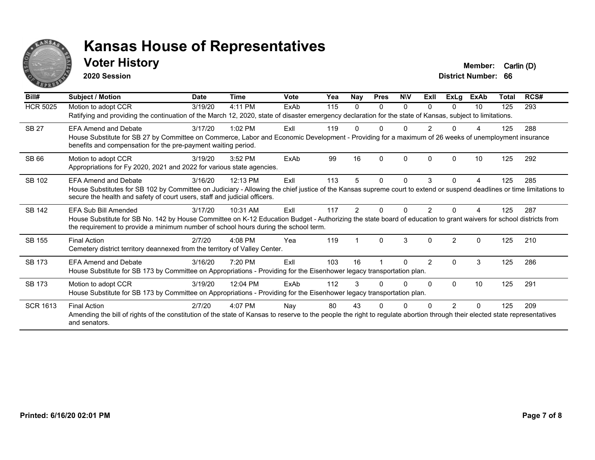

#### **Voter History Member:** Carlin (D)

**2020 Session**

| Bill#           | Subject / Motion                                                                                                                                                                                                                                         | <b>Date</b> | <b>Time</b> | Vote        | Yea | Nay           | <b>Pres</b> | <b>NIV</b> | ExII          | ExLg           | <b>ExAb</b> | Total | RCS# |
|-----------------|----------------------------------------------------------------------------------------------------------------------------------------------------------------------------------------------------------------------------------------------------------|-------------|-------------|-------------|-----|---------------|-------------|------------|---------------|----------------|-------------|-------|------|
| <b>HCR 5025</b> | Motion to adopt CCR                                                                                                                                                                                                                                      | 3/19/20     | 4:11 PM     | ExAb        | 115 | 0             | $\Omega$    | $\Omega$   | 0             | 0              | 10          | 125   | 293  |
|                 | Ratifying and providing the continuation of the March 12, 2020, state of disaster emergency declaration for the state of Kansas, subject to limitations.                                                                                                 |             |             |             |     |               |             |            |               |                |             |       |      |
| <b>SB 27</b>    | <b>EFA Amend and Debate</b>                                                                                                                                                                                                                              | 3/17/20     | $1:02$ PM   | ExII        | 119 |               | U           |            | 2             |                |             | 125   | 288  |
|                 | House Substitute for SB 27 by Committee on Commerce, Labor and Economic Development - Providing for a maximum of 26 weeks of unemployment insurance<br>benefits and compensation for the pre-payment waiting period.                                     |             |             |             |     |               |             |            |               |                |             |       |      |
| <b>SB 66</b>    | Motion to adopt CCR                                                                                                                                                                                                                                      | 3/19/20     | 3:52 PM     | <b>FxAb</b> | 99  | 16            | $\Omega$    | $\Omega$   | $\Omega$      |                | 10          | 125   | 292  |
|                 | Appropriations for Fy 2020, 2021 and 2022 for various state agencies.                                                                                                                                                                                    |             |             |             |     |               |             |            |               |                |             |       |      |
| SB 102          | <b>EFA Amend and Debate</b>                                                                                                                                                                                                                              | 3/16/20     | 12:13 PM    | ExII        | 113 | 5             | $\Omega$    | $\Omega$   | 3             | $\Omega$       | 4           | 125   | 285  |
|                 | House Substitutes for SB 102 by Committee on Judiciary - Allowing the chief justice of the Kansas supreme court to extend or suspend deadlines or time limitations to<br>secure the health and safety of court users, staff and judicial officers.       |             |             |             |     |               |             |            |               |                |             |       |      |
| <b>SB 142</b>   | EFA Sub Bill Amended                                                                                                                                                                                                                                     | 3/17/20     | 10:31 AM    | ExII        | 117 | $\mathcal{P}$ | n           |            |               |                |             | 125   | 287  |
|                 | House Substitute for SB No. 142 by House Committee on K-12 Education Budget - Authorizing the state board of education to grant waivers for school districts from<br>the requirement to provide a minimum number of school hours during the school term. |             |             |             |     |               |             |            |               |                |             |       |      |
| <b>SB 155</b>   | <b>Final Action</b>                                                                                                                                                                                                                                      | 2/7/20      | 4:08 PM     | Yea         | 119 |               | $\Omega$    | 3          | $\Omega$      | $\mathfrak{p}$ | $\Omega$    | 125   | 210  |
|                 | Cemetery district territory deannexed from the territory of Valley Center.                                                                                                                                                                               |             |             |             |     |               |             |            |               |                |             |       |      |
| <b>SB 173</b>   | <b>EFA Amend and Debate</b>                                                                                                                                                                                                                              | 3/16/20     | 7:20 PM     | ExII        | 103 | 16            |             | 0          | $\mathcal{P}$ | $\Omega$       | 3           | 125   | 286  |
|                 | House Substitute for SB 173 by Committee on Appropriations - Providing for the Eisenhower legacy transportation plan.                                                                                                                                    |             |             |             |     |               |             |            |               |                |             |       |      |
| <b>SB 173</b>   | Motion to adopt CCR                                                                                                                                                                                                                                      | 3/19/20     | 12:04 PM    | ExAb        | 112 |               |             | 0          | $\Omega$      | $\Omega$       | 10          | 125   | 291  |
|                 | House Substitute for SB 173 by Committee on Appropriations - Providing for the Eisenhower legacy transportation plan.                                                                                                                                    |             |             |             |     |               |             |            |               |                |             |       |      |
| <b>SCR 1613</b> | <b>Final Action</b>                                                                                                                                                                                                                                      | 2/7/20      | 4:07 PM     | Nay         | 80  | 43            | ŋ           |            |               | 2              | $\Omega$    | 125   | 209  |
|                 | Amending the bill of rights of the constitution of the state of Kansas to reserve to the people the right to regulate abortion through their elected state representatives<br>and senators.                                                              |             |             |             |     |               |             |            |               |                |             |       |      |